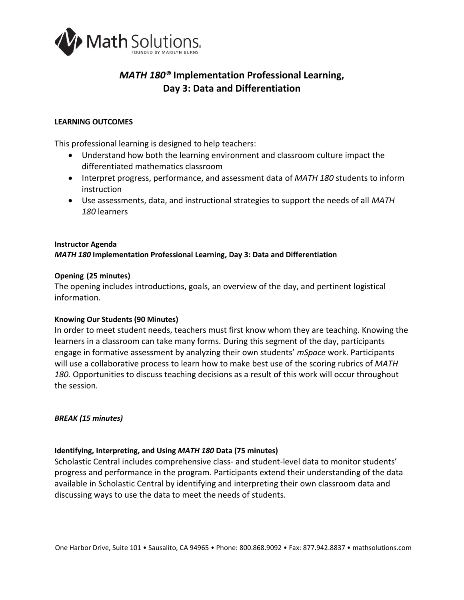

# *MATH 180®* **Implementation Professional Learning, Day 3: Data and Differentiation**

#### **LEARNING OUTCOMES**

This professional learning is designed to help teachers:

- Understand how both the learning environment and classroom culture impact the differentiated mathematics classroom
- Interpret progress, performance, and assessment data of *MATH 180* students to inform instruction
- Use assessments, data, and instructional strategies to support the needs of all *MATH 180* learners

# **Instructor Agenda** *MATH 180* **Implementation Professional Learning, Day 3: Data and Differentiation**

# **Opening (25 minutes)**

The opening includes introductions, goals, an overview of the day, and pertinent logistical information.

#### **Knowing Our Students (90 Minutes)**

In order to meet student needs, teachers must first know whom they are teaching. Knowing the learners in a classroom can take many forms. During this segment of the day, participants engage in formative assessment by analyzing their own students' *mSpace* work. Participants will use a collaborative process to learn how to make best use of the scoring rubrics of *MATH*  180. Opportunities to discuss teaching decisions as a result of this work will occur throughout the session*.*

#### *BREAK (15 minutes)*

#### **Identifying, Interpreting, and Using** *MATH 180* **Data (75 minutes)**

Scholastic Central includes comprehensive class- and student-level data to monitor students' progress and performance in the program. Participants extend their understanding of the data available in Scholastic Central by identifying and interpreting their own classroom data and discussing ways to use the data to meet the needs of students.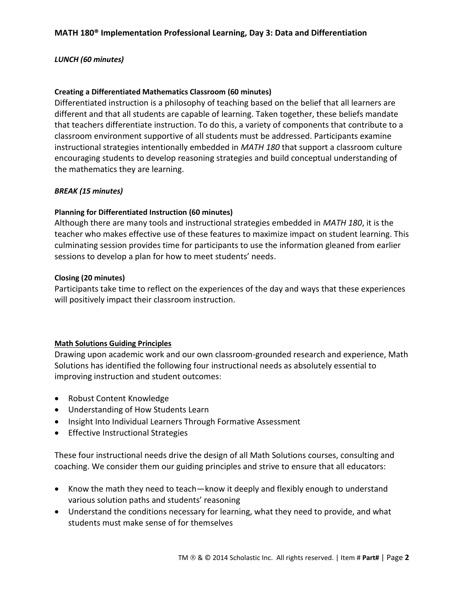# *LUNCH (60 minutes)*

# **Creating a Differentiated Mathematics Classroom (60 minutes)**

Differentiated instruction is a philosophy of teaching based on the belief that all learners are different and that all students are capable of learning. Taken together, these beliefs mandate that teachers differentiate instruction. To do this, a variety of components that contribute to a classroom environment supportive of all students must be addressed. Participants examine instructional strategies intentionally embedded in *MATH 180* that support a classroom culture encouraging students to develop reasoning strategies and build conceptual understanding of the mathematics they are learning.

# *BREAK (15 minutes)*

# **Planning for Differentiated Instruction (60 minutes)**

Although there are many tools and instructional strategies embedded in *MATH 180*, it is the teacher who makes effective use of these features to maximize impact on student learning. This culminating session provides time for participants to use the information gleaned from earlier sessions to develop a plan for how to meet students' needs.

#### **Closing (20 minutes)**

Participants take time to reflect on the experiences of the day and ways that these experiences will positively impact their classroom instruction.

#### **Math Solutions Guiding Principles**

Drawing upon academic work and our own classroom-grounded research and experience, Math Solutions has identified the following four instructional needs as absolutely essential to improving instruction and student outcomes:

- Robust Content Knowledge
- Understanding of How Students Learn
- Insight Into Individual Learners Through Formative Assessment
- **•** Effective Instructional Strategies

These four instructional needs drive the design of all Math Solutions courses, consulting and coaching. We consider them our guiding principles and strive to ensure that all educators:

- Know the math they need to teach—know it deeply and flexibly enough to understand various solution paths and students' reasoning
- Understand the conditions necessary for learning, what they need to provide, and what students must make sense of for themselves